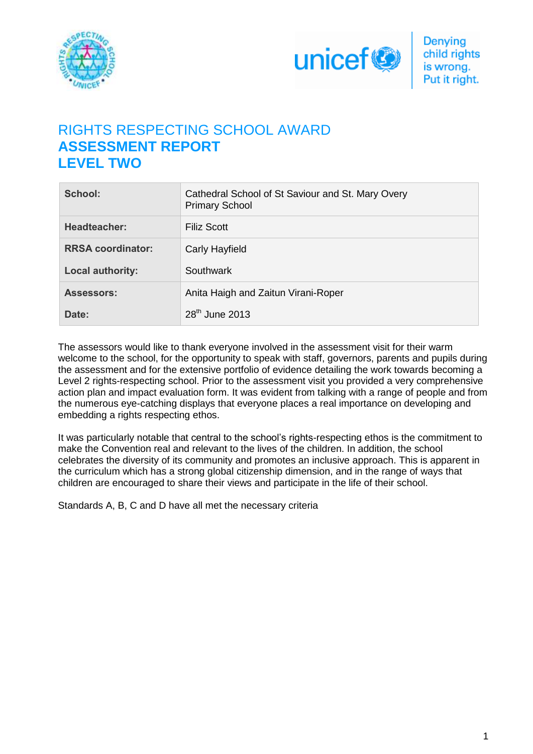



# RIGHTS RESPECTING SCHOOL AWARD **ASSESSMENT REPORT LEVEL TWO**

| School:                  | Cathedral School of St Saviour and St. Mary Overy<br><b>Primary School</b> |
|--------------------------|----------------------------------------------------------------------------|
| Headteacher:             | <b>Filiz Scott</b>                                                         |
| <b>RRSA coordinator:</b> | Carly Hayfield                                                             |
| <b>Local authority:</b>  | Southwark                                                                  |
| <b>Assessors:</b>        | Anita Haigh and Zaitun Virani-Roper                                        |
| Date:                    | $28th$ June 2013                                                           |

The assessors would like to thank everyone involved in the assessment visit for their warm welcome to the school, for the opportunity to speak with staff, governors, parents and pupils during the assessment and for the extensive portfolio of evidence detailing the work towards becoming a Level 2 rights-respecting school. Prior to the assessment visit you provided a very comprehensive action plan and impact evaluation form. It was evident from talking with a range of people and from the numerous eye-catching displays that everyone places a real importance on developing and embedding a rights respecting ethos.

It was particularly notable that central to the school's rights-respecting ethos is the commitment to make the Convention real and relevant to the lives of the children. In addition, the school celebrates the diversity of its community and promotes an inclusive approach. This is apparent in the curriculum which has a strong global citizenship dimension, and in the range of ways that children are encouraged to share their views and participate in the life of their school.

Standards A, B, C and D have all met the necessary criteria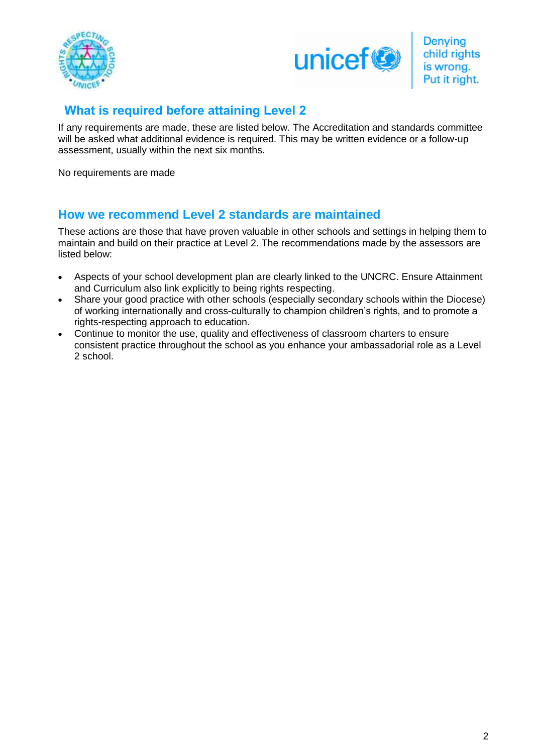



## **What is required before attaining Level 2**

If any requirements are made, these are listed below. The Accreditation and standards committee will be asked what additional evidence is required. This may be written evidence or a follow-up assessment, usually within the next six months.

No requirements are made

## **How we recommend Level 2 standards are maintained**

These actions are those that have proven valuable in other schools and settings in helping them to maintain and build on their practice at Level 2. The recommendations made by the assessors are listed below:

- Aspects of your school development plan are clearly linked to the UNCRC. Ensure Attainment and Curriculum also link explicitly to being rights respecting.
- Share your good practice with other schools (especially secondary schools within the Diocese) of working internationally and cross-culturally to champion children's rights, and to promote a rights-respecting approach to education.
- Continue to monitor the use, quality and effectiveness of classroom charters to ensure consistent practice throughout the school as you enhance your ambassadorial role as a Level 2 school.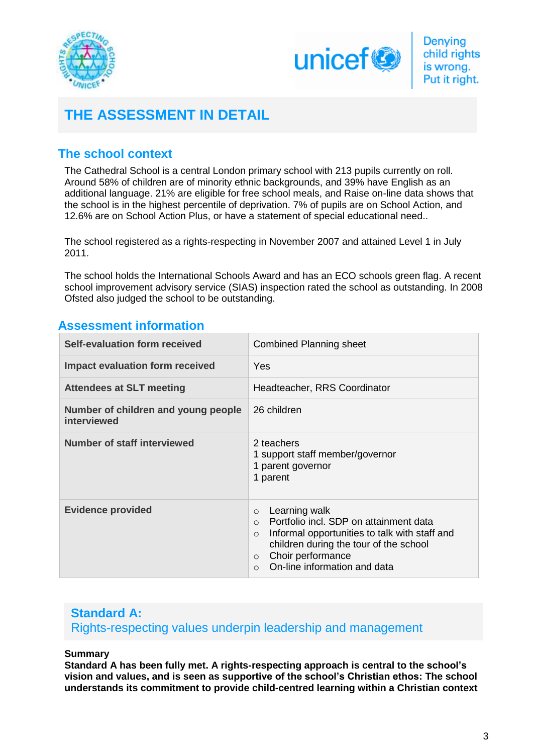



# **THE ASSESSMENT IN DETAIL**

## **The school context**

The Cathedral School is a central London primary school with 213 pupils currently on roll. Around 58% of children are of minority ethnic backgrounds, and 39% have English as an additional language. 21% are eligible for free school meals, and Raise on-line data shows that the school is in the highest percentile of deprivation. 7% of pupils are on School Action, and 12.6% are on School Action Plus, or have a statement of special educational need..

The school registered as a rights-respecting in November 2007 and attained Level 1 in July 2011.

The school holds the International Schools Award and has an ECO schools green flag. A recent school improvement advisory service (SIAS) inspection rated the school as outstanding. In 2008 Ofsted also judged the school to be outstanding.

## **Assessment information**

| Self-evaluation form received                      | <b>Combined Planning sheet</b>                                                                                                                                                                                                            |
|----------------------------------------------------|-------------------------------------------------------------------------------------------------------------------------------------------------------------------------------------------------------------------------------------------|
| <b>Impact evaluation form received</b>             | Yes                                                                                                                                                                                                                                       |
| <b>Attendees at SLT meeting</b>                    | Headteacher, RRS Coordinator                                                                                                                                                                                                              |
| Number of children and young people<br>interviewed | 26 children                                                                                                                                                                                                                               |
| <b>Number of staff interviewed</b>                 | 2 teachers<br>1 support staff member/governor<br>1 parent governor<br>1 parent                                                                                                                                                            |
| <b>Evidence provided</b>                           | Learning walk<br>$\circ$<br>Portfolio incl. SDP on attainment data<br>Informal opportunities to talk with staff and<br>$\Omega$<br>children during the tour of the school<br>Choir performance<br>$\circ$<br>On-line information and data |

### **Standard A:**  Rights-respecting values underpin leadership and management

### **Summary**

**Standard A has been fully met. A rights-respecting approach is central to the school's vision and values, and is seen as supportive of the school's Christian ethos: The school understands its commitment to provide child-centred learning within a Christian context**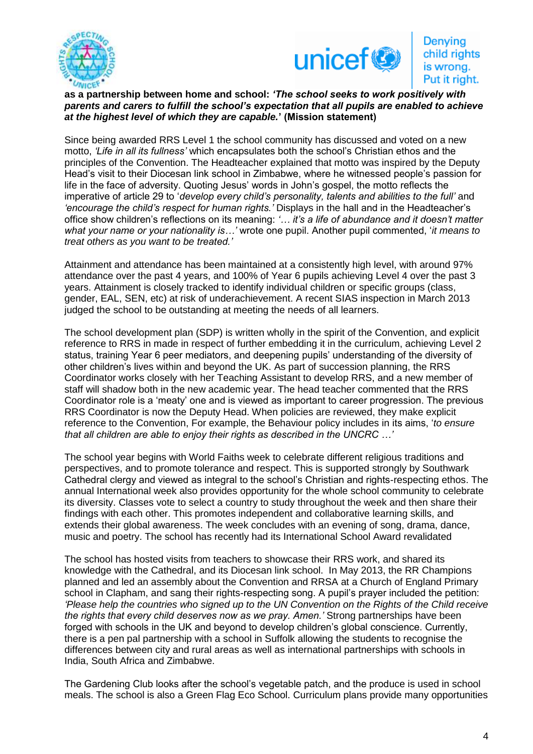



### **as a partnership between home and school:** *'The school seeks to work positively with parents and carers to fulfill the school's expectation that all pupils are enabled to achieve at the highest level of which they are capable.***' (Mission statement)**

Since being awarded RRS Level 1 the school community has discussed and voted on a new motto, *'Life in all its fullness'* which encapsulates both the school's Christian ethos and the principles of the Convention. The Headteacher explained that motto was inspired by the Deputy Head's visit to their Diocesan link school in Zimbabwe, where he witnessed people's passion for life in the face of adversity. Quoting Jesus' words in John's gospel, the motto reflects the imperative of article 29 to '*develop every child's personality, talents and abilities to the full'* and *'encourage the child's respect for human rights.'* Displays in the hall and in the Headteacher's office show children's reflections on its meaning: *'… it's a life of abundance and it doesn't matter what your name or your nationality is…'* wrote one pupil. Another pupil commented, '*it means to treat others as you want to be treated.'* 

Attainment and attendance has been maintained at a consistently high level, with around 97% attendance over the past 4 years, and 100% of Year 6 pupils achieving Level 4 over the past 3 years. Attainment is closely tracked to identify individual children or specific groups (class, gender, EAL, SEN, etc) at risk of underachievement. A recent SIAS inspection in March 2013 judged the school to be outstanding at meeting the needs of all learners.

The school development plan (SDP) is written wholly in the spirit of the Convention, and explicit reference to RRS in made in respect of further embedding it in the curriculum, achieving Level 2 status, training Year 6 peer mediators, and deepening pupils' understanding of the diversity of other children's lives within and beyond the UK. As part of succession planning, the RRS Coordinator works closely with her Teaching Assistant to develop RRS, and a new member of staff will shadow both in the new academic year. The head teacher commented that the RRS Coordinator role is a 'meaty' one and is viewed as important to career progression. The previous RRS Coordinator is now the Deputy Head. When policies are reviewed, they make explicit reference to the Convention, For example, the Behaviour policy includes in its aims, '*to ensure that all children are able to enjoy their rights as described in the UNCRC …'* 

The school year begins with World Faiths week to celebrate different religious traditions and perspectives, and to promote tolerance and respect. This is supported strongly by Southwark Cathedral clergy and viewed as integral to the school's Christian and rights-respecting ethos. The annual International week also provides opportunity for the whole school community to celebrate its diversity. Classes vote to select a country to study throughout the week and then share their findings with each other. This promotes independent and collaborative learning skills, and extends their global awareness. The week concludes with an evening of song, drama, dance, music and poetry. The school has recently had its International School Award revalidated

The school has hosted visits from teachers to showcase their RRS work, and shared its knowledge with the Cathedral, and its Diocesan link school. In May 2013, the RR Champions planned and led an assembly about the Convention and RRSA at a Church of England Primary school in Clapham, and sang their rights-respecting song. A pupil's prayer included the petition: *'Please help the countries who signed up to the UN Convention on the Rights of the Child receive the rights that every child deserves now as we pray. Amen.'* Strong partnerships have been forged with schools in the UK and beyond to develop children's global conscience. Currently, there is a pen pal partnership with a school in Suffolk allowing the students to recognise the differences between city and rural areas as well as international partnerships with schools in India, South Africa and Zimbabwe.

The Gardening Club looks after the school's vegetable patch, and the produce is used in school meals. The school is also a Green Flag Eco School. Curriculum plans provide many opportunities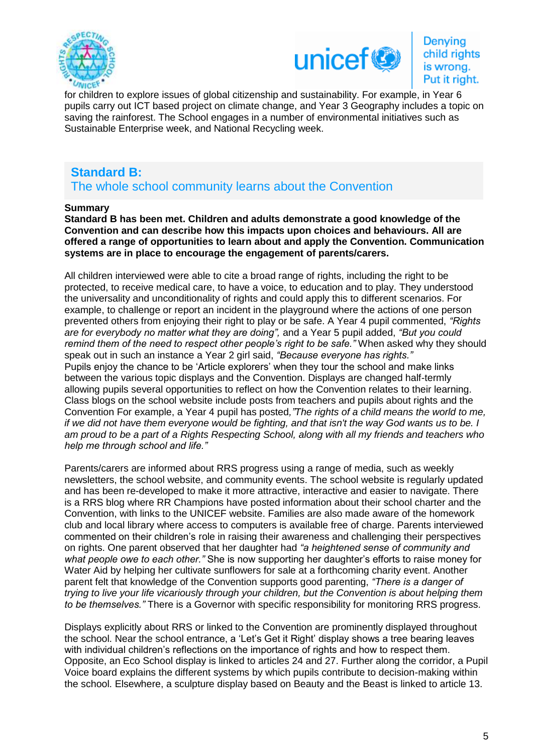



Denying child rights is wrong. Put it right.

for children to explore issues of global citizenship and sustainability. For example, in Year 6 pupils carry out ICT based project on climate change, and Year 3 Geography includes a topic on saving the rainforest. The School engages in a number of environmental initiatives such as Sustainable Enterprise week, and National Recycling week.

## **Standard B:**

The whole school community learns about the Convention

### **Summary**

**Standard B has been met. Children and adults demonstrate a good knowledge of the Convention and can describe how this impacts upon choices and behaviours. All are offered a range of opportunities to learn about and apply the Convention. Communication systems are in place to encourage the engagement of parents/carers.** 

All children interviewed were able to cite a broad range of rights, including the right to be protected, to receive medical care, to have a voice, to education and to play. They understood the universality and unconditionality of rights and could apply this to different scenarios. For example, to challenge or report an incident in the playground where the actions of one person prevented others from enjoying their right to play or be safe. A Year 4 pupil commented, *"Rights are for everybody no matter what they are doing",* and a Year 5 pupil added, *"But you could remind them of the need to respect other people's right to be safe."* When asked why they should speak out in such an instance a Year 2 girl said, *"Because everyone has rights."* Pupils enjoy the chance to be 'Article explorers' when they tour the school and make links between the various topic displays and the Convention. Displays are changed half-termly allowing pupils several opportunities to reflect on how the Convention relates to their learning. Class blogs on the school website include posts from teachers and pupils about rights and the Convention For example, a Year 4 pupil has posted*,"The rights of a child means the world to me, if we did not have them everyone would be fighting, and that isn't the way God wants us to be. I am proud to be a part of a Rights Respecting School, along with all my friends and teachers who help me through school and life."*

Parents/carers are informed about RRS progress using a range of media, such as weekly newsletters, the school website, and community events. The school website is regularly updated and has been re-developed to make it more attractive, interactive and easier to navigate. There is a RRS blog where RR Champions have posted information about their school charter and the Convention, with links to the UNICEF website. Families are also made aware of the homework club and local library where access to computers is available free of charge. Parents interviewed commented on their children's role in raising their awareness and challenging their perspectives on rights. One parent observed that her daughter had *"a heightened sense of community and what people owe to each other."* She is now supporting her daughter's efforts to raise money for Water Aid by helping her cultivate sunflowers for sale at a forthcoming charity event. Another parent felt that knowledge of the Convention supports good parenting, *"There is a danger of trying to live your life vicariously through your children, but the Convention is about helping them to be themselves."* There is a Governor with specific responsibility for monitoring RRS progress.

Displays explicitly about RRS or linked to the Convention are prominently displayed throughout the school. Near the school entrance, a 'Let's Get it Right' display shows a tree bearing leaves with individual children's reflections on the importance of rights and how to respect them. Opposite, an Eco School display is linked to articles 24 and 27. Further along the corridor, a Pupil Voice board explains the different systems by which pupils contribute to decision-making within the school. Elsewhere, a sculpture display based on Beauty and the Beast is linked to article 13.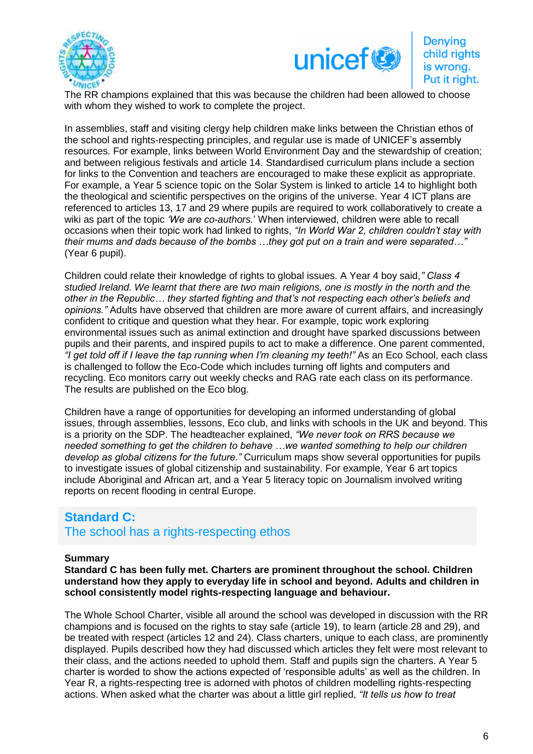



### Denying child rights is wrong. Put it right.

The RR champions explained that this was because the children had been allowed to choose with whom they wished to work to complete the project.

In assemblies, staff and visiting clergy help children make links between the Christian ethos of the school and rights-respecting principles, and regular use is made of UNICEF's assembly resources. For example, links between World Environment Day and the stewardship of creation; and between religious festivals and article 14. Standardised curriculum plans include a section for links to the Convention and teachers are encouraged to make these explicit as appropriate. For example, a Year 5 science topic on the Solar System is linked to article 14 to highlight both the theological and scientific perspectives on the origins of the universe. Year 4 ICT plans are referenced to articles 13, 17 and 29 where pupils are required to work collaboratively to create a wiki as part of the topic *'We are co-authors.*' When interviewed, children were able to recall occasions when their topic work had linked to rights, *"In World War 2, children couldn't stay with their mums and dads because of the bombs …they got put on a train and were separated…"*  (Year 6 pupil).

Children could relate their knowledge of rights to global issues. A Year 4 boy said,*" Class 4 studied Ireland. We learnt that there are two main religions, one is mostly in the north and the other in the Republic… they started fighting and that's not respecting each other's beliefs and opinions."* Adults have observed that children are more aware of current affairs, and increasingly confident to critique and question what they hear. For example, topic work exploring environmental issues such as animal extinction and drought have sparked discussions between pupils and their parents, and inspired pupils to act to make a difference. One parent commented, "I get told off if I leave the tap running when I'm cleaning my teeth!" As an Eco School, each class is challenged to follow the Eco-Code which includes turning off lights and computers and recycling. Eco monitors carry out weekly checks and RAG rate each class on its performance. The results are published on the Eco blog.

Children have a range of opportunities for developing an informed understanding of global issues, through assemblies, lessons, Eco club, and links with schools in the UK and beyond. This is a priority on the SDP. The headteacher explained, *"We never took on RRS because we needed something to get the children to behave …we wanted something to help our children develop as global citizens for the future."* Curriculum maps show several opportunities for pupils to investigate issues of global citizenship and sustainability. For example, Year 6 art topics include Aboriginal and African art, and a Year 5 literacy topic on Journalism involved writing reports on recent flooding in central Europe.

# **Standard C:**

The school has a rights-respecting ethos

### **Summary**

**Standard C has been fully met. Charters are prominent throughout the school. Children understand how they apply to everyday life in school and beyond. Adults and children in school consistently model rights-respecting language and behaviour.**

The Whole School Charter, visible all around the school was developed in discussion with the RR champions and is focused on the rights to stay safe (article 19), to learn (article 28 and 29), and be treated with respect (articles 12 and 24). Class charters, unique to each class, are prominently displayed. Pupils described how they had discussed which articles they felt were most relevant to their class, and the actions needed to uphold them. Staff and pupils sign the charters. A Year 5 charter is worded to show the actions expected of 'responsible adults' as well as the children. In Year R, a rights-respecting tree is adorned with photos of children modelling rights-respecting actions. When asked what the charter was about a little girl replied, *"It tells us how to treat*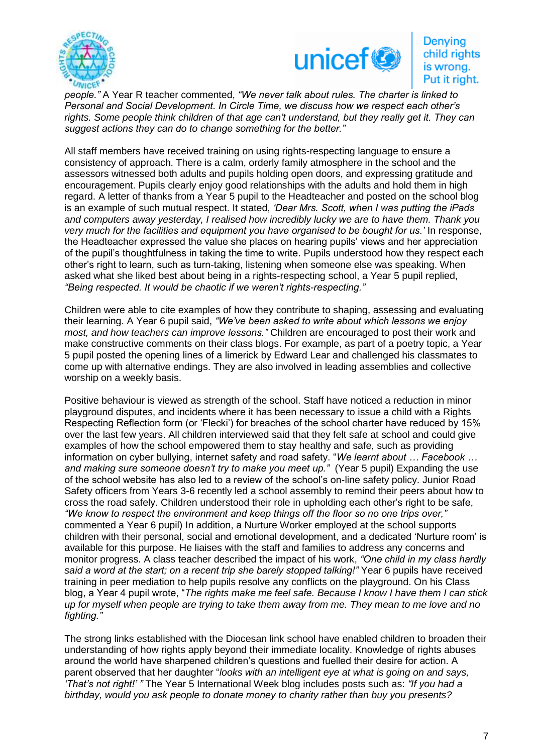



### Denying child rights is wrong. Put it right.

*people."* A Year R teacher commented, *"We never talk about rules. The charter is linked to Personal and Social Development. In Circle Time, we discuss how we respect each other's rights. Some people think children of that age can't understand, but they really get it. They can suggest actions they can do to change something for the better."*

All staff members have received training on using rights-respecting language to ensure a consistency of approach. There is a calm, orderly family atmosphere in the school and the assessors witnessed both adults and pupils holding open doors, and expressing gratitude and encouragement. Pupils clearly enjoy good relationships with the adults and hold them in high regard. A letter of thanks from a Year 5 pupil to the Headteacher and posted on the school blog is an example of such mutual respect. It stated, *'Dear Mrs. Scott, when I was putting the iPads and computers away yesterday, I realised how incredibly lucky we are to have them. Thank you very much for the facilities and equipment you have organised to be bought for us.'* In response, the Headteacher expressed the value she places on hearing pupils' views and her appreciation of the pupil's thoughtfulness in taking the time to write. Pupils understood how they respect each other's right to learn, such as turn-taking, listening when someone else was speaking. When asked what she liked best about being in a rights-respecting school, a Year 5 pupil replied, *"Being respected. It would be chaotic if we weren't rights-respecting."*

Children were able to cite examples of how they contribute to shaping, assessing and evaluating their learning. A Year 6 pupil said, *"We've been asked to write about which lessons we enjoy most, and how teachers can improve lessons."* Children are encouraged to post their work and make constructive comments on their class blogs. For example, as part of a poetry topic, a Year 5 pupil posted the opening lines of a limerick by Edward Lear and challenged his classmates to come up with alternative endings. They are also involved in leading assemblies and collective worship on a weekly basis.

Positive behaviour is viewed as strength of the school. Staff have noticed a reduction in minor playground disputes, and incidents where it has been necessary to issue a child with a Rights Respecting Reflection form (or 'Flecki') for breaches of the school charter have reduced by 15% over the last few years. All children interviewed said that they felt safe at school and could give examples of how the school empowered them to stay healthy and safe, such as providing information on cyber bullying, internet safety and road safety. "*We learnt about … Facebook …*  and making sure someone doesn't try to make you meet up." (Year 5 pupil) Expanding the use of the school website has also led to a review of the school's on-line safety policy. Junior Road Safety officers from Years 3-6 recently led a school assembly to remind their peers about how to cross the road safely. Children understood their role in upholding each other's right to be safe, *"We know to respect the environment and keep things off the floor so no one trips over,"*  commented a Year 6 pupil) In addition, a Nurture Worker employed at the school supports children with their personal, social and emotional development, and a dedicated 'Nurture room' is available for this purpose. He liaises with the staff and families to address any concerns and monitor progress. A class teacher described the impact of his work, *"One child in my class hardly said a word at the start; on a recent trip she barely stopped talking!"* Year 6 pupils have received training in peer mediation to help pupils resolve any conflicts on the playground. On his Class blog, a Year 4 pupil wrote, "*The rights make me feel safe. Because I know I have them I can stick up for myself when people are trying to take them away from me. They mean to me love and no fighting."*

The strong links established with the Diocesan link school have enabled children to broaden their understanding of how rights apply beyond their immediate locality. Knowledge of rights abuses around the world have sharpened children's questions and fuelled their desire for action. A parent observed that her daughter "*looks with an intelligent eye at what is going on and says, 'That's not right!' "* The Year 5 International Week blog includes posts such as: *"If you had a birthday, would you ask people to donate money to charity rather than buy you presents?*